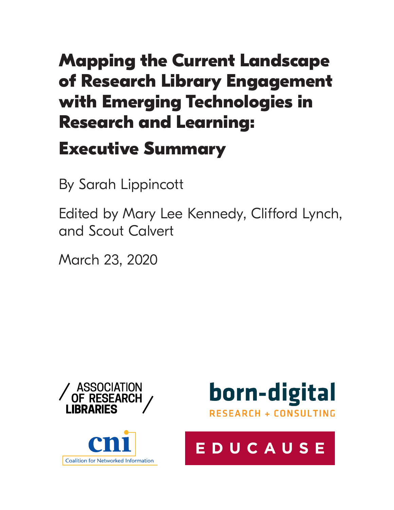# **Mapping the Current Landscape of Research Library Engagement with Emerging Technologies in Research and Learning:**

# **Executive Summary**

By Sarah Lippincott

Edited by Mary Lee Kennedy, Clifford Lynch, and Scout Calvert

March 23, 2020







# EDUCAUSE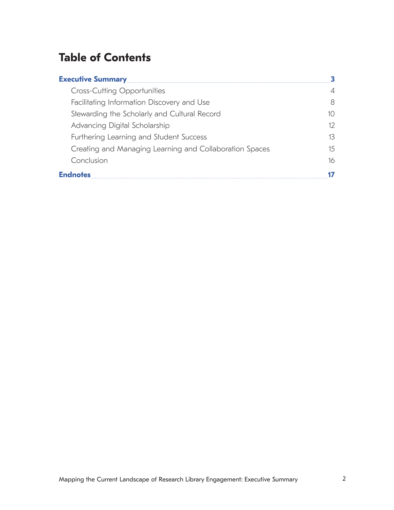# **Table of Contents**

| <b>Executive Summary</b>                                |    |
|---------------------------------------------------------|----|
| <b>Cross-Cutting Opportunities</b>                      |    |
| Facilitating Information Discovery and Use              | 8  |
| Stewarding the Scholarly and Cultural Record            | 10 |
| Advancing Digital Scholarship                           | 12 |
| Furthering Learning and Student Success                 | 13 |
| Creating and Managing Learning and Collaboration Spaces | 15 |
| Conclusion                                              | 16 |
| <b>Endnotes</b>                                         |    |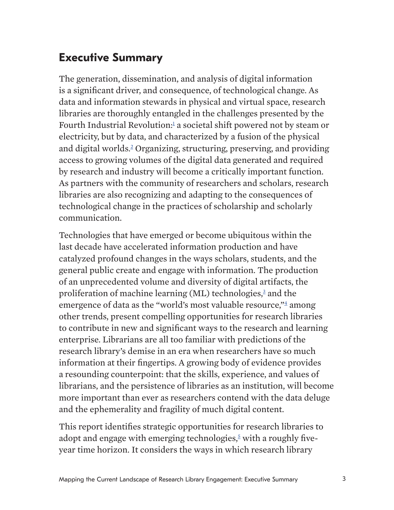# <span id="page-2-0"></span>**Executive Summary**

The generation, dissemination, and analysis of digital information is a significant driver, and consequence, of technological change. As data and information stewards in physical and virtual space, research libraries are thoroughly entangled in the challenges presented by the Fourth Industrial Revolution:<sup>1</sup> a societal shift powered not by steam or electricity, but by data, and characterized by a fusion of the physical and digital worlds.<sup>2</sup> Organizing, structuring, preserving, and providing access to growing volumes of the digital data generated and required by research and industry will become a critically important function. As partners with the community of researchers and scholars, research libraries are also recognizing and adapting to the consequences of technological change in the practices of scholarship and scholarly communication.

Technologies that have emerged or become ubiquitous within the last decade have accelerated information production and have catalyzed profound changes in the ways scholars, students, and the general public create and engage with information. The production of an unprecedented volume and diversity of digital artifacts, the proliferation of machine learning (ML) technologies,<sup>[3](#page-16-1)</sup> and the emergence of data as the "world's most valuable resource," $\stackrel{4}{\leq}$  among other trends, present compelling opportunities for research libraries to contribute in new and significant ways to the research and learning enterprise. Librarians are all too familiar with predictions of the research library's demise in an era when researchers have so much information at their fingertips. A growing body of evidence provides a resounding counterpoint: that the skills, experience, and values of librarians, and the persistence of libraries as an institution, will become more important than ever as researchers contend with the data deluge and the ephemerality and fragility of much digital content.

This report identifies strategic opportunities for research libraries to adopt and engage with emerging technologies, $5$  with a roughly fiveyear time horizon. It considers the ways in which research library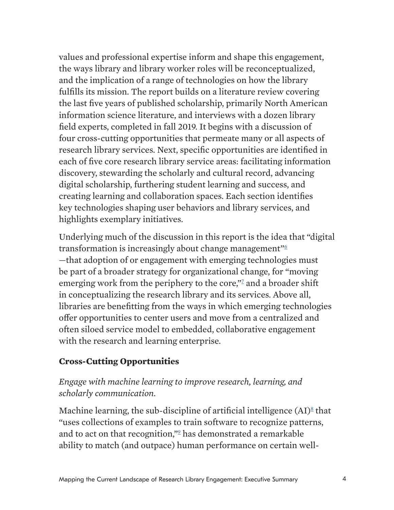<span id="page-3-0"></span>values and professional expertise inform and shape this engagement, the ways library and library worker roles will be reconceptualized, and the implication of a range of technologies on how the library fulfills its mission. The report builds on a literature review covering the last five years of published scholarship, primarily North American information science literature, and interviews with a dozen library field experts, completed in fall 2019. It begins with a discussion of four cross-cutting opportunities that permeate many or all aspects of research library services. Next, specific opportunities are identified in each of five core research library service areas: facilitating information discovery, stewarding the scholarly and cultural record, advancing digital scholarship, furthering student learning and success, and creating learning and collaboration spaces. Each section identifies key technologies shaping user behaviors and library services, and highlights exemplary initiatives.

Underlying much of the discussion in this report is the idea that "digital transformation is increasingly about change management"<sup>6</sup> —that adoption of or engagement with emerging technologies must be part of a broader strategy for organizational change, for "moving emerging work from the periphery to the core,"<sup>2</sup> and a broader shift in conceptualizing the research library and its services. Above all, libraries are benefitting from the ways in which emerging technologies offer opportunities to center users and move from a centralized and often siloed service model to embedded, collaborative engagement with the research and learning enterprise.

### **Cross-Cutting Opportunities**

# *Engage with machine learning to improve research, learning, and scholarly communication.*

Machine learning, the sub-discipline of artificial intelligence  $(AI)^8$  $(AI)^8$  that "uses collections of examples to train software to recognize patterns, and to act on that recognition,"<sup>2</sup> has demonstrated a remarkable ability to match (and outpace) human performance on certain well-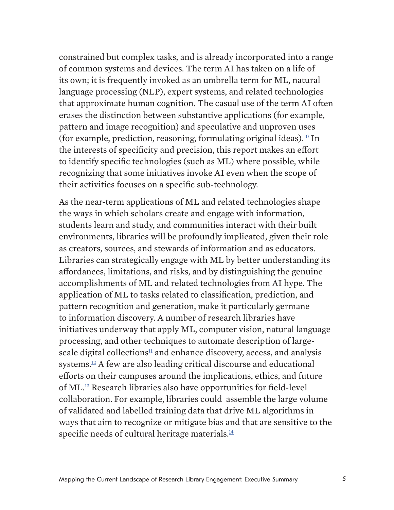constrained but complex tasks, and is already incorporated into a range of common systems and devices. The term AI has taken on a life of its own; it is frequently invoked as an umbrella term for ML, natural language processing (NLP), expert systems, and related technologies that approximate human cognition. The casual use of the term AI often erases the distinction between substantive applications (for example, pattern and image recognition) and speculative and unproven uses (for example, prediction, reasoning, formulating original ideas).<sup>10</sup> In the interests of specificity and precision, this report makes an effort to identify specific technologies (such as ML) where possible, while recognizing that some initiatives invoke AI even when the scope of their activities focuses on a specific sub-technology.

As the near-term applications of ML and related technologies shape the ways in which scholars create and engage with information, students learn and study, and communities interact with their built environments, libraries will be profoundly implicated, given their role as creators, sources, and stewards of information and as educators. Libraries can strategically engage with ML by better understanding its affordances, limitations, and risks, and by distinguishing the genuine accomplishments of ML and related technologies from AI hype. The application of ML to tasks related to classification, prediction, and pattern recognition and generation, make it particularly germane to information discovery. A number of research libraries have initiatives underway that apply ML, computer vision, natural language processing, and other techniques to automate description of largescale digital collections<sup>11</sup> and enhance discovery, access, and analysis systems.12 A few are also leading critical discourse and educational efforts on their campuses around the implications, ethics, and future of ML.13 Research libraries also have opportunities for field-level collaboration. For example, libraries could assemble the large volume of validated and labelled training data that drive ML algorithms in ways that aim to recognize or mitigate bias and that are sensitive to the specific needs of cultural heritage materials. $\frac{14}{3}$  $\frac{14}{3}$  $\frac{14}{3}$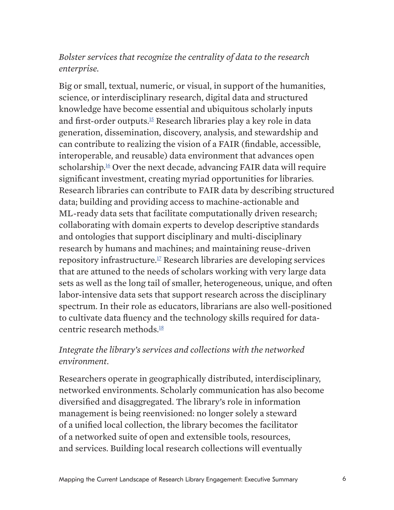### *Bolster services that recognize the centrality of data to the research enterprise.*

Big or small, textual, numeric, or visual, in support of the humanities, science, or interdisciplinary research, digital data and structured knowledge have become essential and ubiquitous scholarly inputs and first-order outputs.<sup>15</sup> Research libraries play a key role in data generation, dissemination, discovery, analysis, and stewardship and can contribute to realizing the vision of a FAIR (findable, accessible, interoperable, and reusable) data environment that advances open scholarship.<sup>16</sup> Over the next decade, advancing FAIR data will require significant investment, creating myriad opportunities for libraries. Research libraries can contribute to FAIR data by describing structured data; building and providing access to machine-actionable and ML-ready data sets that facilitate computationally driven research; collaborating with domain experts to develop descriptive standards and ontologies that support disciplinary and multi-disciplinary research by humans and machines; and maintaining reuse-driven repository infrastructure.17 Research libraries are developing services that are attuned to the needs of scholars working with very large data sets as well as the long tail of smaller, heterogeneous, unique, and often labor-intensive data sets that support research across the disciplinary spectrum. In their role as educators, librarians are also well-positioned to cultivate data fluency and the technology skills required for datacentric research methods.<sup>18</sup>

# *Integrate the library's services and collections with the networked environment.*

Researchers operate in geographically distributed, interdisciplinary, networked environments. Scholarly communication has also become diversified and disaggregated. The library's role in information management is being reenvisioned: no longer solely a steward of a unified local collection, the library becomes the facilitator of a networked suite of open and extensible tools, resources, and services. Building local research collections will eventually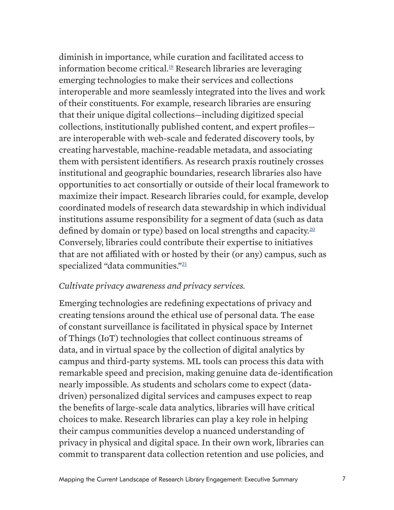diminish in importance, while curation and facilitated access to information become critical. $19$  Research libraries are leveraging emerging technologies to make their services and collections interoperable and more seamlessly integrated into the lives and work of their constituents. For example, research libraries are ensuring that their unique digital collections—including digitized special collections, institutionally published content, and expert profiles are interoperable with web-scale and federated discovery tools, by creating harvestable, machine-readable metadata, and associating them with persistent identifiers. As research praxis routinely crosses institutional and geographic boundaries, research libraries also have opportunities to act consortially or outside of their local framework to maximize their impact. Research libraries could, for example, develop coordinated models of research data stewardship in which individual institutions assume responsibility for a segment of data (such as data defined by domain or type) based on local strengths and capacity.<sup>[20](#page-19-0)</sup> Conversely, libraries could contribute their expertise to initiatives that are not affiliated with or hosted by their (or any) campus, such as specialized "data communities."<sup>[21](#page-19-1)</sup>

#### *Cultivate privacy awareness and privacy services.*

Emerging technologies are redefining expectations of privacy and creating tensions around the ethical use of personal data. The ease of constant surveillance is facilitated in physical space by Internet of Things (IoT) technologies that collect continuous streams of data, and in virtual space by the collection of digital analytics by campus and third-party systems. ML tools can process this data with remarkable speed and precision, making genuine data de-identification nearly impossible. As students and scholars come to expect (datadriven) personalized digital services and campuses expect to reap the benefits of large-scale data analytics, libraries will have critical choices to make. Research libraries can play a key role in helping their campus communities develop a nuanced understanding of privacy in physical and digital space. In their own work, libraries can commit to transparent data collection retention and use policies, and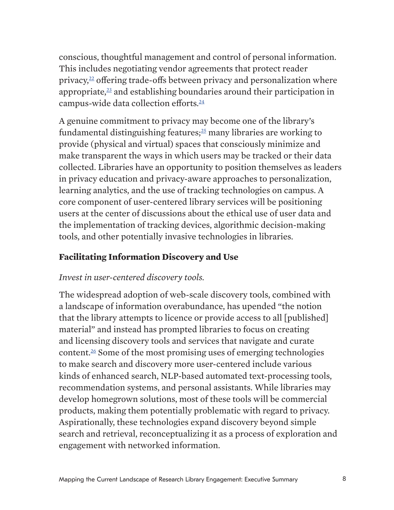<span id="page-7-0"></span>conscious, thoughtful management and control of personal information. This includes negotiating vendor agreements that protect reader privacy, $22$  offering trade-offs between privacy and personalization where appropriate, $23$  and establishing boundaries around their participation in campus-wide data collection efforts.<sup>24</sup>

A genuine commitment to privacy may become one of the library's fundamental distinguishing features; $25$  many libraries are working to provide (physical and virtual) spaces that consciously minimize and make transparent the ways in which users may be tracked or their data collected. Libraries have an opportunity to position themselves as leaders in privacy education and privacy-aware approaches to personalization, learning analytics, and the use of tracking technologies on campus. A core component of user-centered library services will be positioning users at the center of discussions about the ethical use of user data and the implementation of tracking devices, algorithmic decision-making tools, and other potentially invasive technologies in libraries.

### **Facilitating Information Discovery and Use**

#### *Invest in user-centered discovery tools.*

The widespread adoption of web-scale discovery tools, combined with a landscape of information overabundance, has upended "the notion that the library attempts to licence or provide access to all [published] material" and instead has prompted libraries to focus on creating and licensing discovery tools and services that navigate and curate content.26 Some of the most promising uses of emerging technologies to make search and discovery more user-centered include various kinds of enhanced search, NLP-based automated text-processing tools, recommendation systems, and personal assistants. While libraries may develop homegrown solutions, most of these tools will be commercial products, making them potentially problematic with regard to privacy. Aspirationally, these technologies expand discovery beyond simple search and retrieval, reconceptualizing it as a process of exploration and engagement with networked information.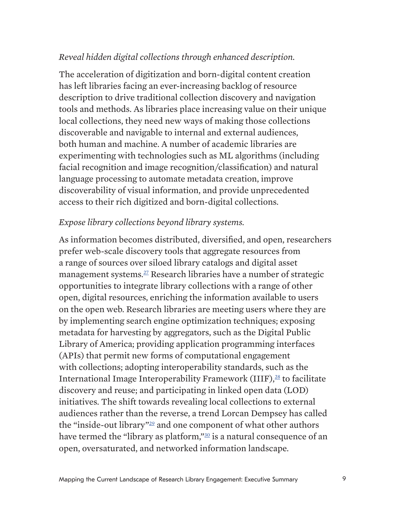### *Reveal hidden digital collections through enhanced description.*

The acceleration of digitization and born-digital content creation has left libraries facing an ever-increasing backlog of resource description to drive traditional collection discovery and navigation tools and methods. As libraries place increasing value on their unique local collections, they need new ways of making those collections discoverable and navigable to internal and external audiences, both human and machine. A number of academic libraries are experimenting with technologies such as ML algorithms (including facial recognition and image recognition/classification) and natural language processing to automate metadata creation, improve discoverability of visual information, and provide unprecedented access to their rich digitized and born-digital collections.

#### *Expose library collections beyond library systems.*

As information becomes distributed, diversified, and open, researchers prefer web-scale discovery tools that aggregate resources from a range of sources over siloed library catalogs and digital asset management systems.<sup>27</sup> Research libraries have a number of strategic opportunities to integrate library collections with a range of other open, digital resources, enriching the information available to users on the open web. Research libraries are meeting users where they are by implementing search engine optimization techniques; exposing metadata for harvesting by aggregators, such as the Digital Public Library of America; providing application programming interfaces (APIs) that permit new forms of computational engagement with collections; adopting interoperability standards, such as the International Image Interoperability Framework (IIIF), $^{28}$  to facilitate discovery and reuse; and participating in linked open data (LOD) initiatives. The shift towards revealing local collections to external audiences rather than the reverse, a trend Lorcan Dempsey has called the "inside-out library"29 and one component of what other authors have termed the "library as platform,"<sup>30</sup> is a natural consequence of an open, oversaturated, and networked information landscape.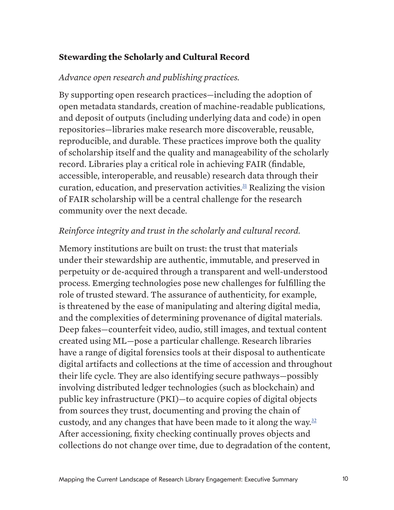### <span id="page-9-0"></span>**Stewarding the Scholarly and Cultural Record**

### *Advance open research and publishing practices.*

By supporting open research practices—including the adoption of open metadata standards, creation of machine-readable publications, and deposit of outputs (including underlying data and code) in open repositories—libraries make research more discoverable, reusable, reproducible, and durable. These practices improve both the quality of scholarship itself and the quality and manageability of the scholarly record. Libraries play a critical role in achieving FAIR (findable, accessible, interoperable, and reusable) research data through their curation, education, and preservation activities. $31$  Realizing the vision of FAIR scholarship will be a central challenge for the research community over the next decade.

# *Reinforce integrity and trust in the scholarly and cultural record.*

Memory institutions are built on trust: the trust that materials under their stewardship are authentic, immutable, and preserved in perpetuity or de-acquired through a transparent and well-understood process. Emerging technologies pose new challenges for fulfilling the role of trusted steward. The assurance of authenticity, for example, is threatened by the ease of manipulating and altering digital media, and the complexities of determining provenance of digital materials. Deep fakes—counterfeit video, audio, still images, and textual content created using ML—pose a particular challenge. Research libraries have a range of digital forensics tools at their disposal to authenticate digital artifacts and collections at the time of accession and throughout their life cycle. They are also identifying secure pathways—possibly involving distributed ledger technologies (such as blockchain) and public key infrastructure (PKI)—to acquire copies of digital objects from sources they trust, documenting and proving the chain of custody, and any changes that have been made to it along the way. $32$ After accessioning, fixity checking continually proves objects and collections do not change over time, due to degradation of the content,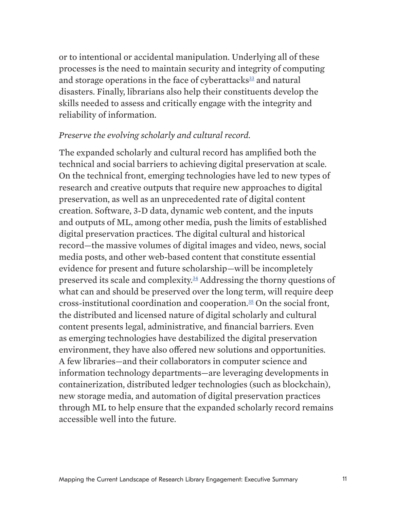or to intentional or accidental manipulation. Underlying all of these processes is the need to maintain security and integrity of computing and storage operations in the face of cyberattacks<sup>33</sup> and natural disasters. Finally, librarians also help their constituents develop the skills needed to assess and critically engage with the integrity and reliability of information.

#### *Preserve the evolving scholarly and cultural record.*

The expanded scholarly and cultural record has amplified both the technical and social barriers to achieving digital preservation at scale. On the technical front, emerging technologies have led to new types of research and creative outputs that require new approaches to digital preservation, as well as an unprecedented rate of digital content creation. Software, 3-D data, dynamic web content, and the inputs and outputs of ML, among other media, push the limits of established digital preservation practices. The digital cultural and historical record—the massive volumes of digital images and video, news, social media posts, and other web-based content that constitute essential evidence for present and future scholarship—will be incompletely preserved its scale and complexity[.34](#page-20-0) Addressing the thorny questions of what can and should be preserved over the long term, will require deep cross-institutional coordination and cooperation[.35](#page-20-1) On the social front, the distributed and licensed nature of digital scholarly and cultural content presents legal, administrative, and financial barriers. Even as emerging technologies have destabilized the digital preservation environment, they have also offered new solutions and opportunities. A few libraries—and their collaborators in computer science and information technology departments—are leveraging developments in containerization, distributed ledger technologies (such as blockchain), new storage media, and automation of digital preservation practices through ML to help ensure that the expanded scholarly record remains accessible well into the future.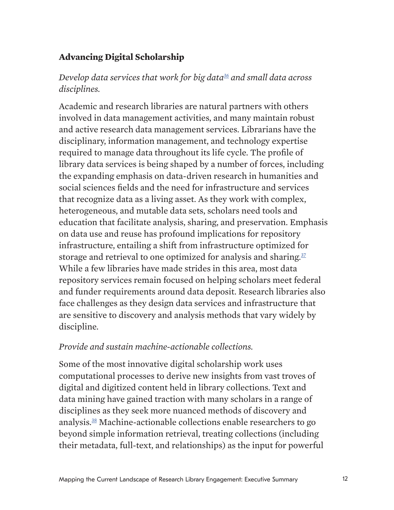### <span id="page-11-0"></span>**Advancing Digital Scholarship**

### *Develop data services that work for big data[36](#page-20-2) and small data across disciplines.*

Academic and research libraries are natural partners with others involved in data management activities, and many maintain robust and active research data management services. Librarians have the disciplinary, information management, and technology expertise required to manage data throughout its life cycle. The profile of library data services is being shaped by a number of forces, including the expanding emphasis on data-driven research in humanities and social sciences fields and the need for infrastructure and services that recognize data as a living asset. As they work with complex, heterogeneous, and mutable data sets, scholars need tools and education that facilitate analysis, sharing, and preservation. Emphasis on data use and reuse has profound implications for repository infrastructure, entailing a shift from infrastructure optimized for storage and retrieval to one optimized for analysis and sharing. $37$ While a few libraries have made strides in this area, most data repository services remain focused on helping scholars meet federal and funder requirements around data deposit. Research libraries also face challenges as they design data services and infrastructure that are sensitive to discovery and analysis methods that vary widely by discipline.

#### *Provide and sustain machine-actionable collections.*

Some of the most innovative digital scholarship work uses computational processes to derive new insights from vast troves of digital and digitized content held in library collections. Text and data mining have gained traction with many scholars in a range of disciplines as they seek more nuanced methods of discovery and analysis.38 Machine-actionable collections enable researchers to go beyond simple information retrieval, treating collections (including their metadata, full-text, and relationships) as the input for powerful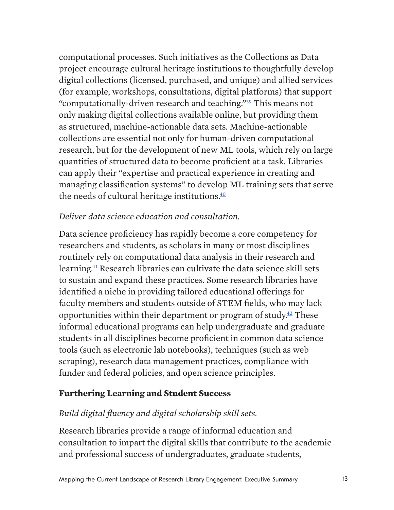<span id="page-12-0"></span>computational processes. Such initiatives as the Collections as Data project encourage cultural heritage institutions to thoughtfully develop digital collections (licensed, purchased, and unique) and allied services (for example, workshops, consultations, digital platforms) that support "computationally-driven research and teaching."[39](#page-21-0) This means not only making digital collections available online, but providing them as structured, machine-actionable data sets. Machine-actionable collections are essential not only for human-driven computational research, but for the development of new ML tools, which rely on large quantities of structured data to become proficient at a task. Libraries can apply their "expertise and practical experience in creating and managing classification systems" to develop ML training sets that serve the needs of cultural heritage institutions. $40$ 

# *Deliver data science education and consultation.*

Data science proficiency has rapidly become a core competency for researchers and students, as scholars in many or most disciplines routinely rely on computational data analysis in their research and learning[.41](#page-21-1) Research libraries can cultivate the data science skill sets to sustain and expand these practices. Some research libraries have identified a niche in providing tailored educational offerings for faculty members and students outside of STEM fields, who may lack opportunities within their department or program of study. $42$  These informal educational programs can help undergraduate and graduate students in all disciplines become proficient in common data science tools (such as electronic lab notebooks), techniques (such as web scraping), research data management practices, compliance with funder and federal policies, and open science principles.

### **Furthering Learning and Student Success**

# *Build digital fluency and digital scholarship skill sets.*

Research libraries provide a range of informal education and consultation to impart the digital skills that contribute to the academic and professional success of undergraduates, graduate students,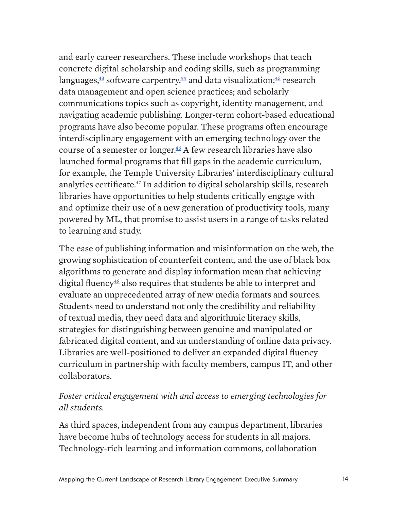and early career researchers. These include workshops that teach concrete digital scholarship and coding skills, such as programming languages, $\frac{43}{12}$  software carpentry, $\frac{44}{12}$  and data visualization; $\frac{45}{12}$  research data management and open science practices; and scholarly communications topics such as copyright, identity management, and navigating academic publishing. Longer-term cohort-based educational programs have also become popular. These programs often encourage interdisciplinary engagement with an emerging technology over the course of a semester or longer.<sup>46</sup> A few research libraries have also launched formal programs that fill gaps in the academic curriculum, for example, the Temple University Libraries' interdisciplinary cultural analytics certificate.<sup>47</sup> In addition to digital scholarship skills, research libraries have opportunities to help students critically engage with and optimize their use of a new generation of productivity tools, many powered by ML, that promise to assist users in a range of tasks related to learning and study.

The ease of publishing information and misinformation on the web, the growing sophistication of counterfeit content, and the use of black box algorithms to generate and display information mean that achieving digital fluency<sup> $48$ </sup> also requires that students be able to interpret and evaluate an unprecedented array of new media formats and sources. Students need to understand not only the credibility and reliability of textual media, they need data and algorithmic literacy skills, strategies for distinguishing between genuine and manipulated or fabricated digital content, and an understanding of online data privacy. Libraries are well-positioned to deliver an expanded digital fluency curriculum in partnership with faculty members, campus IT, and other collaborators.

### *Foster critical engagement with and access to emerging technologies for all students.*

As third spaces, independent from any campus department, libraries have become hubs of technology access for students in all majors. Technology-rich learning and information commons, collaboration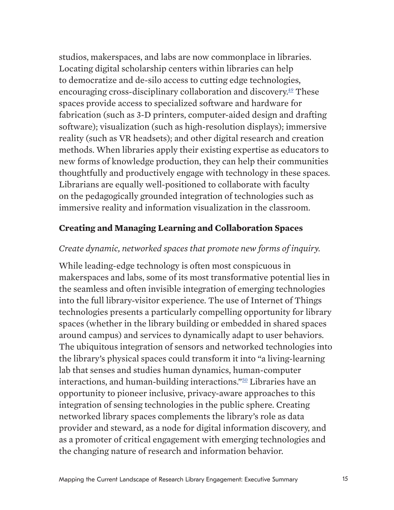<span id="page-14-0"></span>studios, makerspaces, and labs are now commonplace in libraries. Locating digital scholarship centers within libraries can help to democratize and de-silo access to cutting edge technologies, encouraging cross-disciplinary collaboration and discovery.<sup> $49$ </sup> These spaces provide access to specialized software and hardware for fabrication (such as 3-D printers, computer-aided design and drafting software); visualization (such as high-resolution displays); immersive reality (such as VR headsets); and other digital research and creation methods. When libraries apply their existing expertise as educators to new forms of knowledge production, they can help their communities thoughtfully and productively engage with technology in these spaces. Librarians are equally well-positioned to collaborate with faculty on the pedagogically grounded integration of technologies such as immersive reality and information visualization in the classroom.

#### **Creating and Managing Learning and Collaboration Spaces**

#### *Create dynamic, networked spaces that promote new forms of inquiry.*

While leading-edge technology is often most conspicuous in makerspaces and labs, some of its most transformative potential lies in the seamless and often invisible integration of emerging technologies into the full library-visitor experience. The use of Internet of Things technologies presents a particularly compelling opportunity for library spaces (whether in the library building or embedded in shared spaces around campus) and services to dynamically adapt to user behaviors. The ubiquitous integration of sensors and networked technologies into the library's physical spaces could transform it into "a living-learning lab that senses and studies human dynamics, human-computer interactions, and human-building interactions."50 Libraries have an opportunity to pioneer inclusive, privacy-aware approaches to this integration of sensing technologies in the public sphere. Creating networked library spaces complements the library's role as data provider and steward, as a node for digital information discovery, and as a promoter of critical engagement with emerging technologies and the changing nature of research and information behavior.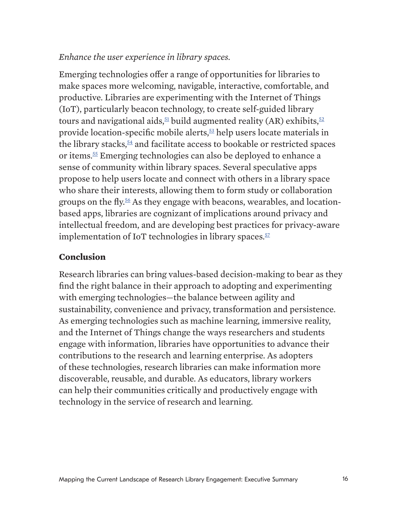#### <span id="page-15-0"></span>*Enhance the user experience in library spaces.*

Emerging technologies offer a range of opportunities for libraries to make spaces more welcoming, navigable, interactive, comfortable, and productive. Libraries are experimenting with the Internet of Things (IoT), particularly beacon technology, to create self-guided library tours and navigational aids,  $51$  build augmented reality (AR) exhibits,  $52$ provide location-specific mobile alerts,<sup>53</sup> help users locate materials in the library stacks, $54$  and facilitate access to bookable or restricted spaces or items.55 Emerging technologies can also be deployed to enhance a sense of community within library spaces. Several speculative apps propose to help users locate and connect with others in a library space who share their interests, allowing them to form study or collaboration groups on the fly.<sup>56</sup> As they engage with beacons, wearables, and locationbased apps, libraries are cognizant of implications around privacy and intellectual freedom, and are developing best practices for privacy-aware implementation of IoT technologies in library spaces. $57$ 

#### **Conclusion**

Research libraries can bring values-based decision-making to bear as they find the right balance in their approach to adopting and experimenting with emerging technologies—the balance between agility and sustainability, convenience and privacy, transformation and persistence. As emerging technologies such as machine learning, immersive reality, and the Internet of Things change the ways researchers and students engage with information, libraries have opportunities to advance their contributions to the research and learning enterprise. As adopters of these technologies, research libraries can make information more discoverable, reusable, and durable. As educators, library workers can help their communities critically and productively engage with technology in the service of research and learning.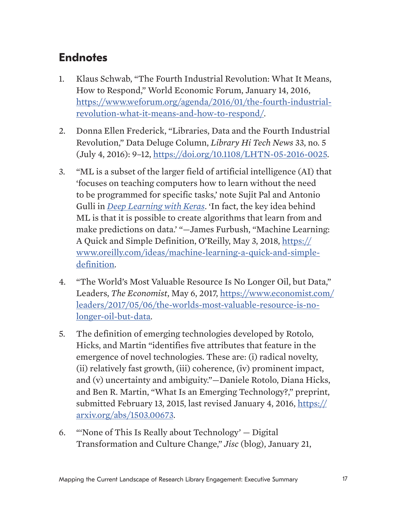# <span id="page-16-0"></span>**Endnotes**

- 1. Klaus Schwab, "The Fourth Industrial Revolution: What It Means, How to Respond," World Economic Forum, January 14, 2016, [https://www.weforum.org/agenda/2016/01/the-fourth-industrial](https://www.weforum.org/agenda/2016/01/the-fourth-industrial-revolution-what-it-means-and-how-to-respond/)[revolution-what-it-means-and-how-to-respond/](https://www.weforum.org/agenda/2016/01/the-fourth-industrial-revolution-what-it-means-and-how-to-respond/).
- 2. Donna Ellen Frederick, "Libraries, Data and the Fourth Industrial Revolution," Data Deluge Column, *Library Hi Tech News* 33, no. 5 (July 4, 2016): 9–12, [https://doi.org/10.1108/LHTN-05-2016-0025.](https://doi.org/10.1108/LHTN-05-2016-0025)
- <span id="page-16-1"></span>3. "ML is a subset of the larger field of artificial intelligence (AI) that 'focuses on teaching computers how to learn without the need to be programmed for specific tasks,' note Sujit Pal and Antonio Gulli in *[Deep Learning with Keras](https://www.oreilly.com/library/view/deep-learning-with/9781787128422/?_ga=2.169675048.848386188.1582122340-1714920079.1582122340)*. 'In fact, the key idea behind ML is that it is possible to create algorithms that learn from and make predictions on data.' "—James Furbush, "Machine Learning: A Quick and Simple Definition, O'Reilly, May 3, 2018, [https://](https://www.oreilly.com/ideas/machine-learning-a-quick-and-simple-definition) [www.oreilly.com/ideas/machine-learning-a-quick-and-simple](https://www.oreilly.com/ideas/machine-learning-a-quick-and-simple-definition)[definition.](https://www.oreilly.com/ideas/machine-learning-a-quick-and-simple-definition)
- <span id="page-16-2"></span>4. "The World's Most Valuable Resource Is No Longer Oil, but Data," Leaders, *The Economist*, May 6, 2017, [https://www.economist.com/](https://www.economist.com/leaders/2017/05/06/the-worlds-most-valuable-resource-is-no-longer-oil-but-data) [leaders/2017/05/06/the-worlds-most-valuable-resource-is-no](https://www.economist.com/leaders/2017/05/06/the-worlds-most-valuable-resource-is-no-longer-oil-but-data)[longer-oil-but-data.](https://www.economist.com/leaders/2017/05/06/the-worlds-most-valuable-resource-is-no-longer-oil-but-data)
- <span id="page-16-3"></span>5. The definition of emerging technologies developed by Rotolo, Hicks, and Martin "identifies five attributes that feature in the emergence of novel technologies. These are: (i) radical novelty, (ii) relatively fast growth, (iii) coherence, (iv) prominent impact, and (v) uncertainty and ambiguity."—Daniele Rotolo, Diana Hicks, and Ben R. Martin, "What Is an Emerging Technology?," preprint, submitted February 13, 2015, last revised January 4, 2016, [https://](https://arxiv.org/abs/1503.00673) [arxiv.org/abs/1503.00673.](https://arxiv.org/abs/1503.00673)
- <span id="page-16-4"></span>6. "'None of This Is Really about Technology' — Digital Transformation and Culture Change," *Jisc* (blog), January 21,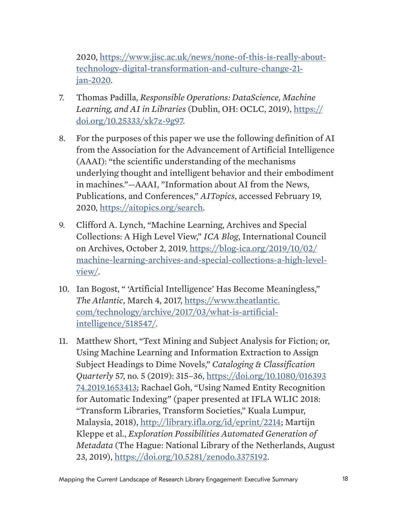2020, [https://www.jisc.ac.uk/news/none-of-this-is-really-about](https://www.jisc.ac.uk/news/none-of-this-is-really-about-technology-digital-transformation-and-culture-change-21-jan-2020)[technology-digital-transformation-and-culture-change-21](https://www.jisc.ac.uk/news/none-of-this-is-really-about-technology-digital-transformation-and-culture-change-21-jan-2020) [jan-2020.](https://www.jisc.ac.uk/news/none-of-this-is-really-about-technology-digital-transformation-and-culture-change-21-jan-2020)

- <span id="page-17-0"></span>7. Thomas Padilla, *Responsible Operations: DataScience, Machine Learning, and AI in Libraries* (Dublin, OH: OCLC, 2019), [https://](https://doi.org/10.25333/xk7z-9g97) [doi.org/10.25333/xk7z-9g97](https://doi.org/10.25333/xk7z-9g97).
- <span id="page-17-1"></span>8. For the purposes of this paper we use the following definition of AI from the Association for the Advancement of Artificial Intelligence (AAAI): "the scientific understanding of the mechanisms underlying thought and intelligent behavior and their embodiment in machines."—AAAI, "Information about AI from the News, Publications, and Conferences," *AITopics*, accessed February 19, 2020,<https://aitopics.org/search>.
- 9. Clifford A. Lynch, "Machine Learning, Archives and Special Collections: A High Level View," *ICA Blog*, International Council on Archives, October 2, 2019, [https://blog-ica.org/2019/10/02/](https://blog-ica.org/2019/10/02/machine-learning-archives-and-special-collections-a-high-level-view/) [machine-learning-archives-and-special-collections-a-high-level](https://blog-ica.org/2019/10/02/machine-learning-archives-and-special-collections-a-high-level-view/)[view/](https://blog-ica.org/2019/10/02/machine-learning-archives-and-special-collections-a-high-level-view/).
- 10. Ian Bogost, " 'Artificial Intelligence' Has Become Meaningless," *The Atlantic*, March 4, 2017, [https://www.theatlantic.](https://www.theatlantic.com/technology/archive/2017/03/what-is-artificial-intelligence/518547/) [com/technology/archive/2017/03/what-is-artificial](https://www.theatlantic.com/technology/archive/2017/03/what-is-artificial-intelligence/518547/)[intelligence/518547/.](https://www.theatlantic.com/technology/archive/2017/03/what-is-artificial-intelligence/518547/)
- 11. Matthew Short, "Text Mining and Subject Analysis for Fiction; or, Using Machine Learning and Information Extraction to Assign Subject Headings to Dime Novels," *Cataloging & Classification Quarterly* 57, no. 5 (2019): 315–36, [https://doi.org/10.1080/016393](https://doi.org/10.1080/01639374.2019.1653413) [74.2019.1653413;](https://doi.org/10.1080/01639374.2019.1653413) Rachael Goh, "Using Named Entity Recognition for Automatic Indexing" (paper presented at IFLA WLIC 2018: "Transform Libraries, Transform Societies," Kuala Lumpur, Malaysia, 2018), [http://library.ifla.org/id/eprint/2214;](http://library.ifla.org/2214/) Martijn Kleppe et al., *Exploration Possibilities Automated Generation of Metadata* (The Hague: National Library of the Netherlands, August 23, 2019),<https://doi.org/10.5281/zenodo.3375192>.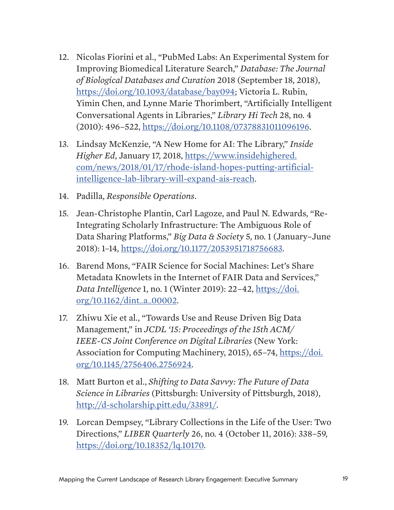- 12. Nicolas Fiorini et al., "PubMed Labs: An Experimental System for Improving Biomedical Literature Search," *Database: The Journal of Biological Databases and Curation* 2018 (September 18, 2018), <https://doi.org/10.1093/database/bay094>; Victoria L. Rubin, Yimin Chen, and Lynne Marie Thorimbert, "Artificially Intelligent Conversational Agents in Libraries," *Library Hi Tech* 28, no. 4 (2010): 496–522, [https://doi.org/10.1108/07378831011096196.](https://doi.org/10.1108/07378831011096196)
- 13. Lindsay McKenzie, "A New Home for AI: The Library," *Inside Higher Ed*, January 17, 2018, [https://www.insidehighered.](https://www.insidehighered.com/news/2018/01/17/rhode-island-hopes-putting-artificial-intelligence-lab-library-will-expand-ais-reach) [com/news/2018/01/17/rhode-island-hopes-putting-artificial](https://www.insidehighered.com/news/2018/01/17/rhode-island-hopes-putting-artificial-intelligence-lab-library-will-expand-ais-reach)[intelligence-lab-library-will-expand-ais-reach.](https://www.insidehighered.com/news/2018/01/17/rhode-island-hopes-putting-artificial-intelligence-lab-library-will-expand-ais-reach)
- <span id="page-18-0"></span>14. Padilla, *Responsible Operations*.
- 15. Jean-Christophe Plantin, Carl Lagoze, and Paul N. Edwards, "Re-Integrating Scholarly Infrastructure: The Ambiguous Role of Data Sharing Platforms," *Big Data & Society* 5, no. 1 (January–June 2018): 1–14, [https://doi.org/10.1177/2053951718756683.](https://doi.org/10.1177/2053951718756683)
- 16. Barend Mons, "FAIR Science for Social Machines: Let's Share Metadata Knowlets in the Internet of FAIR Data and Services," *Data Intelligence* 1, no. 1 (Winter 2019): 22–42, [https://doi.](https://doi.org/10.1162/dint_a_00002) [org/10.1162/dint\\_a\\_00002.](https://doi.org/10.1162/dint_a_00002)
- 17. Zhiwu Xie et al., "Towards Use and Reuse Driven Big Data Management," in *JCDL '15: Proceedings of the 15th ACM/ IEEE-CS Joint Conference on Digital Libraries* (New York: Association for Computing Machinery, 2015), 65–74, [https://doi.](https://doi.org/10.1145/2756406.2756924) [org/10.1145/2756406.2756924.](https://doi.org/10.1145/2756406.2756924)
- <span id="page-18-1"></span>18. Matt Burton et al., *Shifting to Data Savvy: The Future of Data Science in Libraries* (Pittsburgh: University of Pittsburgh, 2018), <http://d-scholarship.pitt.edu/33891/>.
- 19. Lorcan Dempsey, "Library Collections in the Life of the User: Two Directions," *LIBER Quarterly* 26, no. 4 (October 11, 2016): 338–59, [https://doi.org/10.18352/lq.10170.](https://doi.org/10.18352/lq.10170)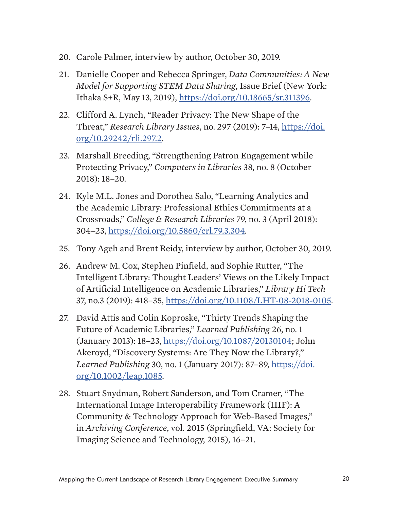- <span id="page-19-0"></span>20. Carole Palmer, interview by author, October 30, 2019.
- <span id="page-19-1"></span>21. Danielle Cooper and Rebecca Springer, *Data Communities: A New Model for Supporting STEM Data Sharing*, Issue Brief (New York: Ithaka S+R, May 13, 2019), [https://doi.org/10.18665/sr.311396.](https://doi.org/10.18665/sr.311396)
- 22. Clifford A. Lynch, "Reader Privacy: The New Shape of the Threat," *Research Library Issues*, no. 297 (2019): 7–14, [https://doi.](https://doi.org/10.29242/rli.297.2) [org/10.29242/rli.297.2](https://doi.org/10.29242/rli.297.2).
- 23. Marshall Breeding, "Strengthening Patron Engagement while Protecting Privacy," *Computers in Libraries* 38, no. 8 (October 2018): 18–20.
- 24. Kyle M.L. Jones and Dorothea Salo, "Learning Analytics and the Academic Library: Professional Ethics Commitments at a Crossroads," *College & Research Libraries* 79, no. 3 (April 2018): 304–23,<https://doi.org/10.5860/crl.79.3.304>.
- <span id="page-19-2"></span>25. Tony Ageh and Brent Reidy, interview by author, October 30, 2019.
- 26. Andrew M. Cox, Stephen Pinfield, and Sophie Rutter, "The Intelligent Library: Thought Leaders' Views on the Likely Impact of Artificial Intelligence on Academic Libraries," *Library Hi Tech* 37, no.3 (2019): 418–35, [https://doi.org/10.1108/LHT-08-2018-0105.](https://doi.org/10.1108/LHT-08-2018-0105)
- 27. David Attis and Colin Koproske, "Thirty Trends Shaping the Future of Academic Libraries," *Learned Publishing* 26, no. 1 (January 2013): 18–23, [https://doi.org/10.1087/20130104;](https://doi.org/10.1087/20130104) John Akeroyd, "Discovery Systems: Are They Now the Library?," *Learned Publishing* 30, no. 1 (January 2017): 87–89, [https://doi.](https://doi.org/10.1002/leap.1085) [org/10.1002/leap.1085.](https://doi.org/10.1002/leap.1085)
- 28. Stuart Snydman, Robert Sanderson, and Tom Cramer, "The International Image Interoperability Framework (IIIF): A Community & Technology Approach for Web-Based Images," in *Archiving Conference*, vol. 2015 (Springfield, VA: Society for Imaging Science and Technology, 2015), 16–21.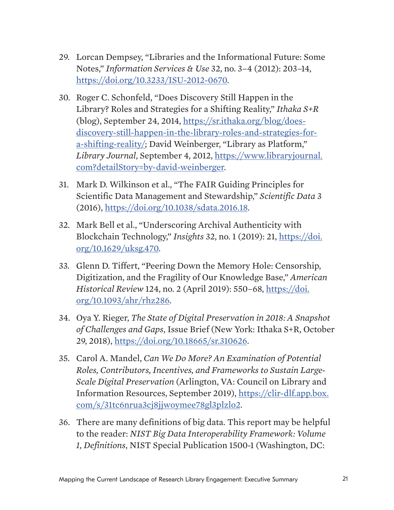- 29. Lorcan Dempsey, "Libraries and the Informational Future: Some Notes," *Information Services & Use* 32, no. 3–4 (2012): 203–14, <https://doi.org/10.3233/ISU-2012-0670>.
- 30. Roger C. Schonfeld, "Does Discovery Still Happen in the Library? Roles and Strategies for a Shifting Reality," *Ithaka S+R* (blog), September 24, 2014, [https://sr.ithaka.org/blog/does](https://sr.ithaka.org/blog/does-discovery-still-happen-in-the-library-roles-and-strategies-for-a-shi)[discovery-still-happen-in-the-library-roles-and-strategies-for](https://sr.ithaka.org/blog/does-discovery-still-happen-in-the-library-roles-and-strategies-for-a-shi)[a-shifting-reality/](https://sr.ithaka.org/blog/does-discovery-still-happen-in-the-library-roles-and-strategies-for-a-shi); David Weinberger, "Library as Platform," *Library Journal*, September 4, 2012, [https://www.libraryjournal.](https://www.libraryjournal.com?detailStory=by-david-weinberger) [com?detailStory=by-david-weinberger](https://www.libraryjournal.com?detailStory=by-david-weinberger).
- 31. Mark D. Wilkinson et al., "The FAIR Guiding Principles for Scientific Data Management and Stewardship," *Scientific Data* 3 (2016), [https://doi.org/10.1038/sdata.2016.18.](https://doi.org/10.1038/sdata.2016.18)
- 32. Mark Bell et al., "Underscoring Archival Authenticity with Blockchain Technology," *Insights* 32, no. 1 (2019): 21, [https://doi.](https://doi.org/10.1629/uksg.470) [org/10.1629/uksg.470.](https://doi.org/10.1629/uksg.470)
- 33. Glenn D. Tiffert, "Peering Down the Memory Hole: Censorship, Digitization, and the Fragility of Our Knowledge Base," *American Historical Review* 124, no. 2 (April 2019): 550–68, [https://doi.](https://doi.org/10.1093/ahr/rhz286) [org/10.1093/ahr/rhz286](https://doi.org/10.1093/ahr/rhz286).
- <span id="page-20-0"></span>34. Oya Y. Rieger, *The State of Digital Preservation in 2018: A Snapshot of Challenges and Gaps*, Issue Brief (New York: Ithaka S+R, October 29, 2018),<https://doi.org/10.18665/sr.310626>.
- <span id="page-20-1"></span>35. Carol A. Mandel, *Can We Do More? An Examination of Potential Roles, Contributors, Incentives, and Frameworks to Sustain Large-Scale Digital Preservation* (Arlington, VA: Council on Library and Information Resources, September 2019), [https://clir-dlf.app.box.](https://clir-dlf.app.box.com/s/31tc6nrua3cj8jjwoymee78gl3plzlo2) [com/s/31tc6nrua3cj8jjwoymee78gl3plzlo2.](https://clir-dlf.app.box.com/s/31tc6nrua3cj8jjwoymee78gl3plzlo2)
- <span id="page-20-2"></span>36. There are many definitions of big data. This report may be helpful to the reader: *NIST Big Data Interoperability Framework: Volume 1, Definitions*, NIST Special Publication 1500-1 (Washington, DC: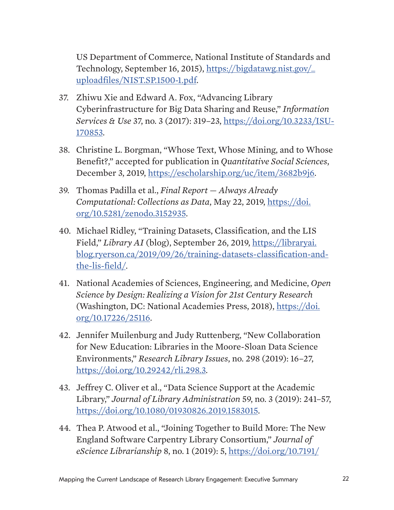US Department of Commerce, National Institute of Standards and Technology, September 16, 2015), [https://bigdatawg.nist.gov/\\_](https://bigdatawg.nist.gov/_uploadfiles/NIST.SP.1500-1.pdf) [uploadfiles/NIST.SP.1500-1.pdf](https://bigdatawg.nist.gov/_uploadfiles/NIST.SP.1500-1.pdf).

- 37. Zhiwu Xie and Edward A. Fox, "Advancing Library Cyberinfrastructure for Big Data Sharing and Reuse," *Information Services & Use* 37, no. 3 (2017): 319–23, [https://doi.org/10.3233/ISU-](https://doi.org/10.3233/ISU-170853)[170853.](https://doi.org/10.3233/ISU-170853)
- 38. Christine L. Borgman, "Whose Text, Whose Mining, and to Whose Benefit?," accepted for publication in *Quantitative Social Sciences*, December 3, 2019, [https://escholarship.org/uc/item/3682b9j6.](https://escholarship.org/uc/item/3682b9j6)
- <span id="page-21-0"></span>39. Thomas Padilla et al., *Final Report — Always Already Computational: Collections as Data*, May 22, 2019, [https://doi.](https://zenodo.org/record/3152935#.XlGJBC3Mx0s) [org/10.5281/zenodo.3152935.](https://zenodo.org/record/3152935#.XlGJBC3Mx0s)
- 40. Michael Ridley, "Training Datasets, Classification, and the LIS Field," *Library AI* (blog), September 26, 2019, [https://libraryai.](https://libraryai.blog.ryerson.ca/2019/09/26/training-datasets-classification-and-the-lis-field/) [blog.ryerson.ca/2019/09/26/training-datasets-classification-and](https://libraryai.blog.ryerson.ca/2019/09/26/training-datasets-classification-and-the-lis-field/)[the-lis-field/](https://libraryai.blog.ryerson.ca/2019/09/26/training-datasets-classification-and-the-lis-field/).
- <span id="page-21-1"></span>41. National Academies of Sciences, Engineering, and Medicine, *Open Science by Design: Realizing a Vision for 21st Century Research* (Washington, DC: National Academies Press, 2018), [https://doi.](https://doi.org/10.17226/25116) [org/10.17226/25116](https://doi.org/10.17226/25116).
- 42. Jennifer Muilenburg and Judy Ruttenberg, "New Collaboration for New Education: Libraries in the Moore-Sloan Data Science Environments," *Research Library Issues*, no. 298 (2019): 16–27, [https://doi.org/10.29242/rli.298.3.](https://doi.org/10.29242/rli.298.3)
- 43. Jeffrey C. Oliver et al., "Data Science Support at the Academic Library," *Journal of Library Administration* 59, no. 3 (2019): 241–57, [https://doi.org/10.1080/01930826.2019.1583015.](https://doi.org/10.1080/01930826.2019.1583015)
- 44. Thea P. Atwood et al., "Joining Together to Build More: The New England Software Carpentry Library Consortium," *Journal of eScience Librarianship* 8, no. 1 (2019): 5, [https://doi.org/10.7191/](https://doi.org/10.7191/jeslib.2019.1161)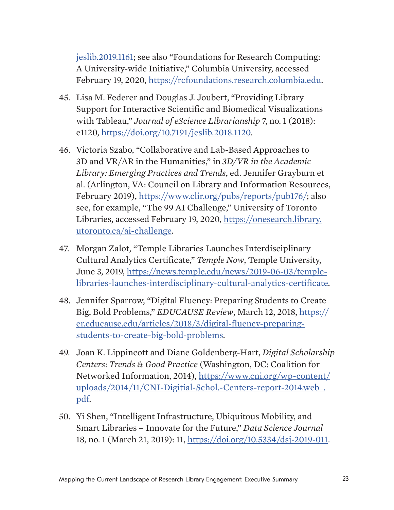[jeslib.2019.1161;](https://doi.org/10.7191/jeslib.2019.1161) see also "Foundations for Research Computing: A University-wide Initiative," Columbia University, accessed February 19, 2020, <https://rcfoundations.research.columbia.edu>.

- 45. Lisa M. Federer and Douglas J. Joubert, "Providing Library Support for Interactive Scientific and Biomedical Visualizations with Tableau," *Journal of eScience Librarianship* 7, no. 1 (2018): e1120, [https://doi.org/10.7191/jeslib.2018.1120.](https://doi.org/10.7191/jeslib.2018.1120)
- 46. Victoria Szabo, "Collaborative and Lab-Based Approaches to 3D and VR/AR in the Humanities," in *3D/VR in the Academic Library: Emerging Practices and Trends*, ed. Jennifer Grayburn et al. (Arlington, VA: Council on Library and Information Resources, February 2019), [https://www.clir.org/pubs/reports/pub176/;](https://www.clir.org/pubs/reports/pub176/) also see, for example, "The 99 AI Challenge," University of Toronto Libraries, accessed February 19, 2020, [https://onesearch.library.](https://onesearch.library.utoronto.ca/ai-challenge) [utoronto.ca/ai-challenge.](https://onesearch.library.utoronto.ca/ai-challenge)
- 47. Morgan Zalot, "Temple Libraries Launches Interdisciplinary Cultural Analytics Certificate," *Temple Now*, Temple University, June 3, 2019, [https://news.temple.edu/news/2019-06-03/temple](https://news.temple.edu/news/2019-06-03/temple-libraries-launches-interdisciplinary-cultural-analytics-certificate)[libraries-launches-interdisciplinary-cultural-analytics-certificate.](https://news.temple.edu/news/2019-06-03/temple-libraries-launches-interdisciplinary-cultural-analytics-certificate)
- 48. Jennifer Sparrow, "Digital Fluency: Preparing Students to Create Big, Bold Problems," *EDUCAUSE Review*, March 12, 2018, [https://](https://er.educause.edu/articles/2018/3/digital-fluency-preparing-students-to-create-big-bold-problems) [er.educause.edu/articles/2018/3/digital-fluency-preparing](https://er.educause.edu/articles/2018/3/digital-fluency-preparing-students-to-create-big-bold-problems)[students-to-create-big-bold-problems.](https://er.educause.edu/articles/2018/3/digital-fluency-preparing-students-to-create-big-bold-problems)
- <span id="page-22-0"></span>49. Joan K. Lippincott and Diane Goldenberg-Hart, *Digital Scholarship Centers: Trends & Good Practice* (Washington, DC: Coalition for Networked Information, 2014), [https://www.cni.org/wp-content/](https://www.cni.org/wp-content/uploads/2014/11/CNI-Digitial-Schol.-Centers-report-2014.web_.pdf) [uploads/2014/11/CNI-Digitial-Schol.-Centers-report-2014.web\\_.](https://www.cni.org/wp-content/uploads/2014/11/CNI-Digitial-Schol.-Centers-report-2014.web_.pdf) [pdf.](https://www.cni.org/wp-content/uploads/2014/11/CNI-Digitial-Schol.-Centers-report-2014.web_.pdf)
- 50. Yi Shen, "Intelligent Infrastructure, Ubiquitous Mobility, and Smart Libraries – Innovate for the Future," *Data Science Journal*  18, no. 1 (March 21, 2019): 11, [https://doi.org/10.5334/dsj-2019-011.](https://doi.org/10.5334/dsj-2019-011)